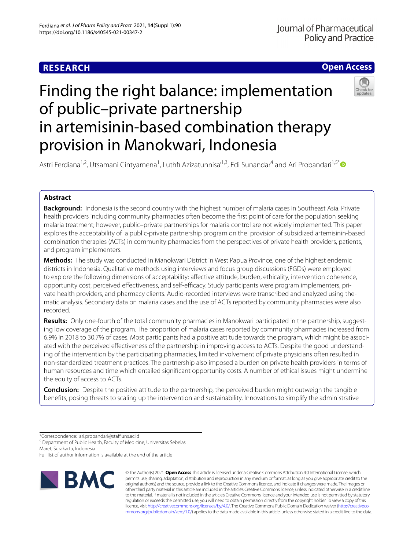# **Open Access**

# Finding the right balance: implementation of public–private partnership in artemisinin-based combination therapy provision in Manokwari, Indonesia



Astri Ferdiana<sup>1,2</sup>, Utsamani Cintyamena<sup>1</sup>, Luthfi Azizatunnisa'<sup>1,3</sup>, Edi Sunandar<sup>4</sup> and Ari Probandari<sup>1,5[\\*](http://orcid.org/0000-0003-3171-5271)</sup>

## **Abstract**

**Background:** Indonesia is the second country with the highest number of malaria cases in Southeast Asia. Private health providers including community pharmacies often become the frst point of care for the population seeking malaria treatment; however, public–private partnerships for malaria control are not widely implemented. This paper explores the acceptability of a public-private partnership program on the provision of subsidized artemisinin-based combination therapies (ACTs) in community pharmacies from the perspectives of private health providers, patients, and program implementers.

**Methods:** The study was conducted in Manokwari District in West Papua Province, one of the highest endemic districts in Indonesia. Qualitative methods using interviews and focus group discussions (FGDs) were employed to explore the following dimensions of acceptability: affective attitude, burden, ethicality, intervention coherence, opportunity cost, perceived effectiveness, and self-efficacy. Study participants were program implementers, private health providers, and pharmacy clients. Audio-recorded interviews were transcribed and analyzed using thematic analysis. Secondary data on malaria cases and the use of ACTs reported by community pharmacies were also recorded.

**Results:** Only one-fourth of the total community pharmacies in Manokwari participated in the partnership, suggesting low coverage of the program. The proportion of malaria cases reported by community pharmacies increased from 6.9% in 2018 to 30.7% of cases. Most participants had a positive attitude towards the program, which might be associated with the perceived efectiveness of the partnership in improving access to ACTs. Despite the good understanding of the intervention by the participating pharmacies, limited involvement of private physicians often resulted in non-standardized treatment practices. The partnership also imposed a burden on private health providers in terms of human resources and time which entailed signifcant opportunity costs. A number of ethical issues might undermine the equity of access to ACTs.

**Conclusion:** Despite the positive attitude to the partnership, the perceived burden might outweigh the tangible benefts, posing threats to scaling up the intervention and sustainability. Innovations to simplify the administrative

\*Correspondence: ari.probandari@staf.uns.ac.id

<sup>5</sup> Department of Public Health, Faculty of Medicine, Universitas Sebelas Maret, Surakarta, Indonesia

Full list of author information is available at the end of the article



© The Author(s) 2021. **Open Access** This article is licensed under a Creative Commons Attribution 4.0 International License, which permits use, sharing, adaptation, distribution and reproduction in any medium or format, as long as you give appropriate credit to the original author(s) and the source, provide a link to the Creative Commons licence, and indicate if changes were made. The images or other third party material in this article are included in the article's Creative Commons licence, unless indicated otherwise in a credit line to the material. If material is not included in the article's Creative Commons licence and your intended use is not permitted by statutory regulation or exceeds the permitted use, you will need to obtain permission directly from the copyright holder. To view a copy of this licence, visit [http://creativecommons.org/licenses/by/4.0/.](http://creativecommons.org/licenses/by/4.0/) The Creative Commons Public Domain Dedication waiver ([http://creativeco](http://creativecommons.org/publicdomain/zero/1.0/) [mmons.org/publicdomain/zero/1.0/](http://creativecommons.org/publicdomain/zero/1.0/)) applies to the data made available in this article, unless otherwise stated in a credit line to the data.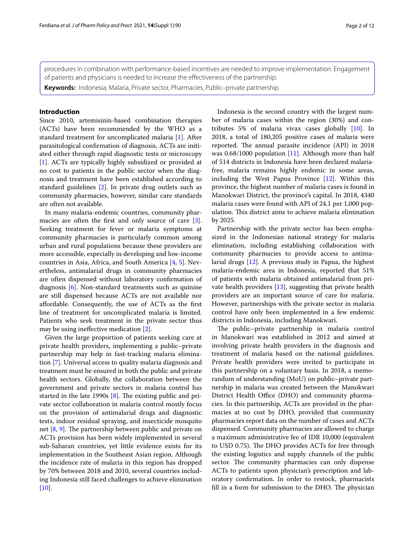procedures in combination with performance-based incentives are needed to improve implementation. Engagement of patients and physicians is needed to increase the efectiveness of the partnership.

**Keywords:** Indonesia, Malaria, Private sector, Pharmacies, Public–private partnership

## **Introduction**

Since 2010, artemisinin-based combination therapies (ACTs) have been recommended by the WHO as a standard treatment for uncomplicated malaria [[1](#page-11-0)]. After parasitological confrmation of diagnosis, ACTs are initiated either through rapid diagnostic tests or microscopy [[1\]](#page-11-0). ACTs are typically highly subsidized or provided at no cost to patients in the public sector when the diagnosis and treatment have been established according to standard guidelines [[2\]](#page-11-1). In private drug outlets such as community pharmacies, however, similar care standards are often not available.

In many malaria-endemic countries, community phar-macies are often the first and only source of care [\[3](#page-11-2)]. Seeking treatment for fever or malaria symptoms at community pharmacies is particularly common among urban and rural populations because these providers are more accessible, especially in developing and low-income countries in Asia, Africa, and South America [\[4](#page-11-3), [5](#page-11-4)]. Nevertheless, antimalarial drugs in community pharmacies are often dispensed without laboratory confrmation of diagnosis [[6\]](#page-11-5). Non-standard treatments such as quinine are still dispensed because ACTs are not available nor afordable. Consequently, the use of ACTs as the frst line of treatment for uncomplicated malaria is limited. Patients who seek treatment in the private sector thus may be using inefective medication [\[2](#page-11-1)].

Given the large proportion of patients seeking care at private health providers, implementing a public–private partnership may help in fast-tracking malaria elimination [[7\]](#page-11-6). Universal access to quality malaria diagnosis and treatment must be ensured in both the public and private health sectors. Globally, the collaboration between the government and private sectors in malaria control has started in the late 1990s  $[8]$  $[8]$ . The existing public and private sector collaboration in malaria control mostly focus on the provision of antimalarial drugs and diagnostic tests, indoor residual spraying, and insecticide mosquito net  $[8, 9]$  $[8, 9]$  $[8, 9]$  $[8, 9]$ . The partnership between public and private on ACTs provision has been widely implemented in several sub-Saharan countries, yet little evidence exists for its implementation in the Southeast Asian region. Although the incidence rate of malaria in this region has dropped by 70% between 2018 and 2010, several countries including Indonesia still faced challenges to achieve elimination  $[10]$  $[10]$ .

Indonesia is the second country with the largest number of malaria cases within the region (30%) and contributes 5% of malaria vivax cases globally [\[10](#page-11-9)]. In 2018, a total of 180,205 positive cases of malaria were reported. The annual parasite incidence (API) in 2018 was 0.68/1000 population [\[11](#page-11-10)]. Although more than half of 514 districts in Indonesia have been declared malariafree, malaria remains highly endemic in some areas, including the West Papua Province [\[12](#page-11-11)]. Within this province, the highest number of malaria cases is found in Manokwari District, the province's capital. In 2018, 4340 malaria cases were found with API of 24.1 per 1,000 population. This district aims to achieve malaria elimination by 2025.

Partnership with the private sector has been emphasized in the Indonesian national strategy for malaria elimination, including establishing collaboration with community pharmacies to provide access to antimalarial drugs [\[12\]](#page-11-11). A previous study in Papua, the highest malaria-endemic area in Indonesia, reported that 51% of patients with malaria obtained antimalarial from private health providers [\[13\]](#page-11-12), suggesting that private health providers are an important source of care for malaria. However, partnerships with the private sector in malaria control have only been implemented in a few endemic districts in Indonesia, including Manokwari.

The public-private partnership in malaria control in Manokwari was established in 2012 and aimed at involving private health providers in the diagnosis and treatment of malaria based on the national guidelines. Private health providers were invited to participate in this partnership on a voluntary basis. In 2018, a memorandum of understanding (MoU) on public–private partnership in malaria was created between the Manokwari District Health Office (DHO) and community pharmacies. In this partnership, ACTs are provided in the pharmacies at no cost by DHO, provided that community pharmacies report data on the number of cases and ACTs dispensed. Community pharmacies are allowed to charge a maximum administrative fee of IDR 10,000 (equivalent to USD 0.75). The DHO provides ACTs for free through the existing logistics and supply channels of the public sector. The community pharmacies can only dispense ACTs to patients upon physician's prescription and laboratory confrmation. In order to restock, pharmacists fill in a form for submission to the DHO. The physician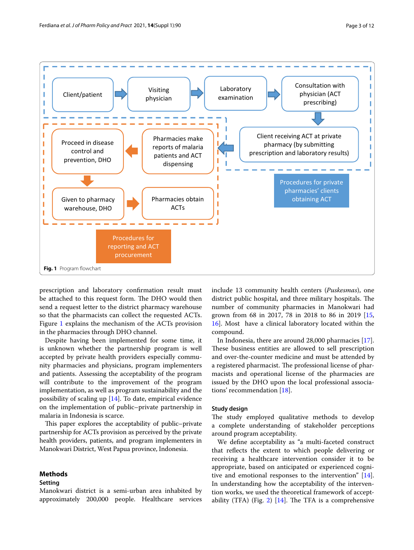

<span id="page-2-0"></span>prescription and laboratory confrmation result must be attached to this request form. The DHO would then send a request letter to the district pharmacy warehouse so that the pharmacists can collect the requested ACTs. Figure [1](#page-2-0) explains the mechanism of the ACTs provision in the pharmacies through DHO channel.

Despite having been implemented for some time, it is unknown whether the partnership program is well accepted by private health providers especially community pharmacies and physicians, program implementers and patients. Assessing the acceptability of the program will contribute to the improvement of the program implementation, as well as program sustainability and the possibility of scaling up [\[14](#page-11-13)]. To date, empirical evidence on the implementation of public–private partnership in malaria in Indonesia is scarce.

This paper explores the acceptability of public–private partnership for ACTs provision as perceived by the private health providers, patients, and program implementers in Manokwari District, West Papua province, Indonesia.

## **Methods**

## **Setting**

Manokwari district is a semi-urban area inhabited by approximately 200,000 people. Healthcare services include 13 community health centers (*Puskesmas*), one district public hospital, and three military hospitals. The number of community pharmacies in Manokwari had grown from 68 in 2017, 78 in 2018 to 86 in 2019 [[15](#page-11-14), [16\]](#page-11-15). Most have a clinical laboratory located within the compound.

In Indonesia, there are around 28,000 pharmacies [\[17](#page-11-16)]. These business entities are allowed to sell prescription and over-the-counter medicine and must be attended by a registered pharmacist. The professional license of pharmacists and operational license of the pharmacies are issued by the DHO upon the local professional associations' recommendation [\[18](#page-11-17)].

## **Study design**

The study employed qualitative methods to develop a complete understanding of stakeholder perceptions around program acceptability.

We defne acceptability as "a multi-faceted construct that refects the extent to which people delivering or receiving a healthcare intervention consider it to be appropriate, based on anticipated or experienced cognitive and emotional responses to the intervention" [\[14](#page-11-13)]. In understanding how the acceptability of the intervention works, we used the theoretical framework of accept-ability (TFA) (Fig. [2\)](#page-3-0)  $[14]$  $[14]$  $[14]$ . The TFA is a comprehensive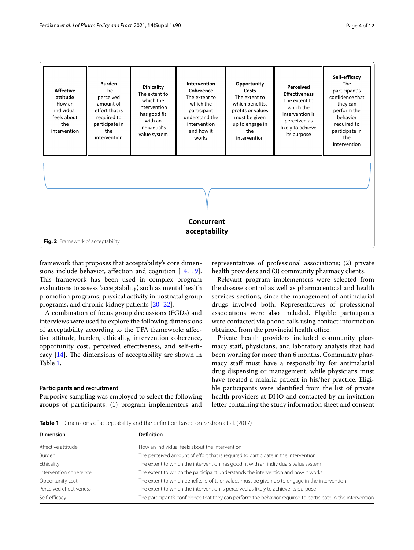



<span id="page-3-0"></span>framework that proposes that acceptability's core dimensions include behavior, afection and cognition [[14](#page-11-13), [19](#page-11-18)]. This framework has been used in complex program evaluations to assess 'acceptability', such as mental health promotion programs, physical activity in postnatal group programs, and chronic kidney patients [\[20](#page-11-19)[–22](#page-11-20)].

A combination of focus group discussions (FGDs) and interviews were used to explore the following dimensions of acceptability according to the TFA framework: afective attitude, burden, ethicality, intervention coherence, opportunity cost, perceived effectiveness, and self-efficacy  $[14]$  $[14]$  $[14]$ . The dimensions of acceptability are shown in Table [1](#page-3-1).

## **Participants and recruitment**

Purposive sampling was employed to select the following groups of participants: (1) program implementers and

representatives of professional associations; (2) private health providers and (3) community pharmacy clients.

Relevant program implementers were selected from the disease control as well as pharmaceutical and health services sections, since the management of antimalarial drugs involved both. Representatives of professional associations were also included. Eligible participants were contacted via phone calls using contact information obtained from the provincial health office.

Private health providers included community pharmacy staf, physicians, and laboratory analysts that had been working for more than 6 months. Community pharmacy staff must have a responsibility for antimalarial drug dispensing or management, while physicians must have treated a malaria patient in his/her practice. Eligible participants were identifed from the list of private health providers at DHO and contacted by an invitation letter containing the study information sheet and consent

<span id="page-3-1"></span>**Table 1** Dimensions of acceptability and the defnition based on Sekhon et al. (2017)

| <b>Dimension</b>        | <b>Definition</b>                                                                                           |  |
|-------------------------|-------------------------------------------------------------------------------------------------------------|--|
| Affective attitude      | How an individual feels about the intervention                                                              |  |
| Burden                  | The perceived amount of effort that is required to participate in the intervention                          |  |
| Ethicality              | The extent to which the intervention has good fit with an individual's value system                         |  |
| Intervention coherence  | The extent to which the participant understands the intervention and how it works                           |  |
| Opportunity cost        | The extent to which benefits, profits or values must be given up to engage in the intervention              |  |
| Perceived effectiveness | The extent to which the intervention is perceived as likely to achieve its purpose                          |  |
| Self-efficacy           | The participant's confidence that they can perform the behavior required to participate in the intervention |  |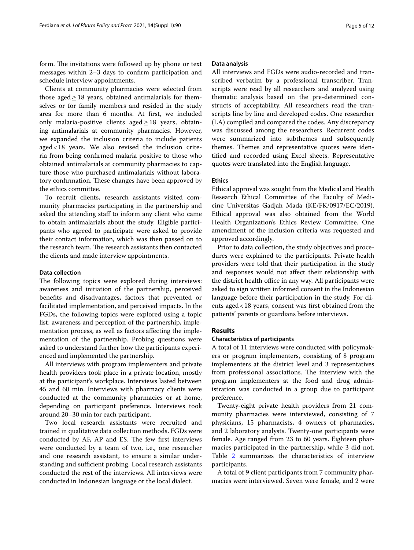form. The invitations were followed up by phone or text messages within 2–3 days to confrm participation and schedule interview appointments.

Clients at community pharmacies were selected from those aged $\geq$ 18 years, obtained antimalarials for themselves or for family members and resided in the study area for more than 6 months. At frst, we included only malaria-positive clients aged $\geq$  18 years, obtaining antimalarials at community pharmacies. However, we expanded the inclusion criteria to include patients aged<18 years. We also revised the inclusion criteria from being confrmed malaria positive to those who obtained antimalarials at community pharmacies to capture those who purchased antimalarials without laboratory confirmation. These changes have been approved by the ethics committee.

To recruit clients, research assistants visited community pharmacies participating in the partnership and asked the attending staff to inform any client who came to obtain antimalarials about the study. Eligible participants who agreed to participate were asked to provide their contact information, which was then passed on to the research team. The research assistants then contacted the clients and made interview appointments.

### **Data collection**

The following topics were explored during interviews: awareness and initiation of the partnership, perceived benefts and disadvantages, factors that prevented or facilitated implementation, and perceived impacts. In the FGDs, the following topics were explored using a topic list: awareness and perception of the partnership, implementation process, as well as factors afecting the implementation of the partnership. Probing questions were asked to understand further how the participants experienced and implemented the partnership.

All interviews with program implementers and private health providers took place in a private location, mostly at the participant's workplace. Interviews lasted between 45 and 60 min. Interviews with pharmacy clients were conducted at the community pharmacies or at home, depending on participant preference. Interviews took around 20–30 min for each participant.

Two local research assistants were recruited and trained in qualitative data collection methods. FGDs were conducted by AF, AP and ES. The few first interviews were conducted by a team of two, i.e., one researcher and one research assistant, to ensure a similar understanding and sufficient probing. Local research assistants conducted the rest of the interviews. All interviews were conducted in Indonesian language or the local dialect.

## **Data analysis**

All interviews and FGDs were audio-recorded and transcribed verbatim by a professional transcriber. Transcripts were read by all researchers and analyzed using thematic analysis based on the pre-determined constructs of acceptability. All researchers read the transcripts line by line and developed codes. One researcher (LA) compiled and compared the codes. Any discrepancy was discussed among the researchers. Recurrent codes were summarized into subthemes and subsequently themes. Themes and representative quotes were identifed and recorded using Excel sheets. Representative quotes were translated into the English language.

## **Ethics**

Ethical approval was sought from the Medical and Health Research Ethical Committee of the Faculty of Medicine Universitas Gadjah Mada (KE/FK/0917/EC/2019). Ethical approval was also obtained from the World Health Organization's Ethics Review Committee. One amendment of the inclusion criteria was requested and approved accordingly.

Prior to data collection, the study objectives and procedures were explained to the participants. Private health providers were told that their participation in the study and responses would not afect their relationship with the district health office in any way. All participants were asked to sign written informed consent in the Indonesian language before their participation in the study. For clients aged<18 years, consent was frst obtained from the patients' parents or guardians before interviews.

## **Results**

## **Characteristics of participants**

A total of 11 interviews were conducted with policymakers or program implementers, consisting of 8 program implementers at the district level and 3 representatives from professional associations. The interview with the program implementers at the food and drug administration was conducted in a group due to participant preference.

Twenty-eight private health providers from 21 community pharmacies were interviewed, consisting of 7 physicians, 15 pharmacists, 4 owners of pharmacies, and 2 laboratory analysts. Twenty-one participants were female. Age ranged from 23 to 60 years. Eighteen pharmacies participated in the partnership, while 3 did not. Table [2](#page-5-0) summarizes the characteristics of interview participants.

A total of 9 client participants from 7 community pharmacies were interviewed. Seven were female, and 2 were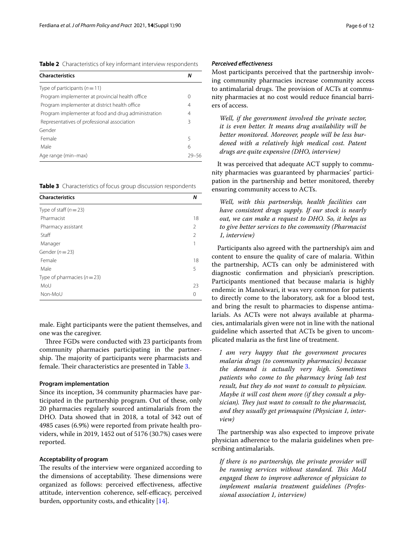<span id="page-5-0"></span>**Table 2** Characteristics of key informant interview respondents

| <b>Characteristics</b>                              | Ν |
|-----------------------------------------------------|---|
| Type of participants $(n=11)$                       |   |
| Program implementer at provincial health office     | 0 |
| Program implementer at district health office       | 4 |
| Program implementer at food and drug administration | 4 |
| Representatives of professional association         | 3 |
| Gender                                              |   |
| Female                                              | 5 |
| Male                                                | 6 |
| Age range (min-max)                                 |   |

<span id="page-5-1"></span>**Table 3** Characteristics of focus group discussion respondents

| <b>Characteristics</b>      |                |  |
|-----------------------------|----------------|--|
| Type of staff $(n=23)$      |                |  |
| Pharmacist                  | 18             |  |
| Pharmacy assistant          | $\mathfrak{D}$ |  |
| Staff                       | $\mathfrak{D}$ |  |
| Manager                     |                |  |
| Gender ( $n = 23$ )         |                |  |
| Female                      | 18             |  |
| Male                        | 5              |  |
| Type of pharmacies $(n=23)$ |                |  |
| MoU                         | 23             |  |
| Non-MoU                     | 0              |  |

male. Eight participants were the patient themselves, and one was the caregiver.

Three FGDs were conducted with 23 participants from community pharmacies participating in the partnership. The majority of participants were pharmacists and female. Their characteristics are presented in Table [3](#page-5-1).

## **Program implementation**

Since its inception, 34 community pharmacies have participated in the partnership program. Out of these, only 20 pharmacies regularly sourced antimalarials from the DHO. Data showed that in 2018, a total of 342 out of 4985 cases (6.9%) were reported from private health providers, while in 2019, 1452 out of 5176 (30.7%) cases were reported.

## **Acceptability of program**

The results of the interview were organized according to the dimensions of acceptability. These dimensions were organized as follows: perceived efectiveness, afective attitude, intervention coherence, self-efficacy, perceived burden, opportunity costs, and ethicality [\[14\]](#page-11-13).

## *Perceived efectiveness*

Most participants perceived that the partnership involving community pharmacies increase community access to antimalarial drugs. The provision of ACTs at community pharmacies at no cost would reduce fnancial barriers of access.

*Well, if the government involved the private sector, it is even better. It means drug availability will be better monitored. Moreover, people will be less burdened with a relatively high medical cost. Patent drugs are quite expensive (DHO, interview)*

It was perceived that adequate ACT supply to community pharmacies was guaranteed by pharmacies' participation in the partnership and better monitored, thereby ensuring community access to ACTs.

*Well, with this partnership, health facilities can have consistent drugs supply. If our stock is nearly out, we can make a request to DHO. So, it helps us to give better services to the community (Pharmacist 1, interview)*

Participants also agreed with the partnership's aim and content to ensure the quality of care of malaria. Within the partnership, ACTs can only be administered with diagnostic confrmation and physician's prescription. Participants mentioned that because malaria is highly endemic in Manokwari, it was very common for patients to directly come to the laboratory, ask for a blood test, and bring the result to pharmacies to dispense antimalarials. As ACTs were not always available at pharmacies, antimalarials given were not in line with the national guideline which asserted that ACTs be given to uncomplicated malaria as the frst line of treatment.

*I am very happy that the government procures malaria drugs (to community pharmacies) because the demand is actually very high. Sometimes patients who come to the pharmacy bring lab test result, but they do not want to consult to physician. Maybe it will cost them more (if they consult a phy*sician). They just want to consult to the pharmacist, *and they usually get primaquine (Physician 1, interview)*

The partnership was also expected to improve private physician adherence to the malaria guidelines when prescribing antimalarials.

*If there is no partnership, the private provider will be running services without standard. Tis MoU engaged them to improve adherence of physician to implement malaria treatment guidelines (Professional association 1, interview)*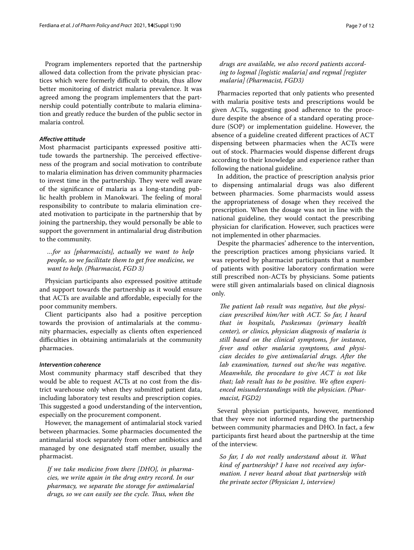Program implementers reported that the partnership allowed data collection from the private physician practices which were formerly difficult to obtain, thus allow better monitoring of district malaria prevalence. It was agreed among the program implementers that the partnership could potentially contribute to malaria elimination and greatly reduce the burden of the public sector in malaria control.

## *Afective attitude*

Most pharmacist participants expressed positive attitude towards the partnership. The perceived effectiveness of the program and social motivation to contribute to malaria elimination has driven community pharmacies to invest time in the partnership. They were well aware of the signifcance of malaria as a long-standing public health problem in Manokwari. The feeling of moral responsibility to contribute to malaria elimination created motivation to participate in the partnership that by joining the partnership, they would personally be able to support the government in antimalarial drug distribution to the community.

*…for us [pharmacists], actually we want to help people, so we facilitate them to get free medicine, we want to help. (Pharmacist, FGD 3)*

Physician participants also expressed positive attitude and support towards the partnership as it would ensure that ACTs are available and afordable, especially for the poor community members.

Client participants also had a positive perception towards the provision of antimalarials at the community pharmacies, especially as clients often experienced difficulties in obtaining antimalarials at the community pharmacies.

#### *Intervention coherence*

Most community pharmacy staff described that they would be able to request ACTs at no cost from the district warehouse only when they submitted patient data, including laboratory test results and prescription copies. This suggested a good understanding of the intervention, especially on the procurement component.

However, the management of antimalarial stock varied between pharmacies. Some pharmacies documented the antimalarial stock separately from other antibiotics and managed by one designated staff member, usually the pharmacist.

*If we take medicine from there [DHO], in pharmacies, we write again in the drug entry record. In our pharmacy, we separate the storage for antimalarial drugs, so we can easily see the cycle. Tus, when the* 

Pharmacies reported that only patients who presented with malaria positive tests and prescriptions would be given ACTs, suggesting good adherence to the procedure despite the absence of a standard operating procedure (SOP) or implementation guideline. However, the absence of a guideline created diferent practices of ACT dispensing between pharmacies when the ACTs were out of stock. Pharmacies would dispense diferent drugs according to their knowledge and experience rather than following the national guideline.

In addition, the practice of prescription analysis prior to dispensing antimalarial drugs was also diferent between pharmacies. Some pharmacists would assess the appropriateness of dosage when they received the prescription. When the dosage was not in line with the national guideline, they would contact the prescribing physician for clarifcation. However, such practices were not implemented in other pharmacies.

Despite the pharmacies' adherence to the intervention, the prescription practices among physicians varied. It was reported by pharmacist participants that a number of patients with positive laboratory confrmation were still prescribed non-ACTs by physicians. Some patients were still given antimalarials based on clinical diagnosis only.

The patient lab result was negative, but the physi*cian prescribed him/her with ACT. So far, I heard that in hospitals, Puskesmas (primary health center), or clinics, physician diagnosis of malaria is still based on the clinical symptoms, for instance, fever and other malaria symptoms, and physician decides to give antimalarial drugs. After the lab examination, turned out she/he was negative. Meanwhile, the procedure to give ACT is not like that; lab result has to be positive. We often experienced misunderstandings with the physician. (Pharmacist, FGD2)*

Several physician participants, however, mentioned that they were not informed regarding the partnership between community pharmacies and DHO. In fact, a few participants frst heard about the partnership at the time of the interview.

*So far, I do not really understand about it. What kind of partnership? I have not received any information. I never heard about that partnership with the private sector (Physician 1, interview)*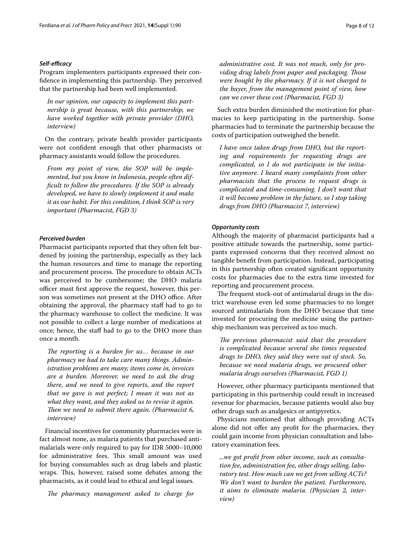## *Self‑efcacy*

Program implementers participants expressed their confidence in implementing this partnership. They perceived that the partnership had been well implemented.

*In our opinion, our capacity to implement this partnership is great because, with this partnership, we have worked together with private provider (DHO, interview)*

On the contrary, private health provider participants were not confdent enough that other pharmacists or pharmacy assistants would follow the procedures.

*From my point of view, the SOP will be implemented, but you know in Indonesia, people often diffcult to follow the procedures. If the SOP is already developed, we have to slowly implement it and make it as our habit. For this condition, I think SOP is very important (Pharmacist, FGD 3)*

## *Perceived burden*

Pharmacist participants reported that they often felt burdened by joining the partnership, especially as they lack the human resources and time to manage the reporting and procurement process. The procedure to obtain ACTs was perceived to be cumbersome; the DHO malaria officer must first approve the request, however, this person was sometimes not present at the DHO office. After obtaining the approval, the pharmacy staf had to go to the pharmacy warehouse to collect the medicine. It was not possible to collect a large number of medications at once; hence, the staff had to go to the DHO more than once a month.

*The reporting is a burden for us... because in our pharmacy we had to take care many things. Administration problems are many; items come in, invoices are a burden. Moreover, we need to ask the drug there, and we need to give reports, and the report that we gave is not perfect; I mean it was not as what they want, and they asked us to revise it again.*  Then we need to submit there again. (Pharmacist 6, *interview)*

Financial incentives for community pharmacies were in fact almost none, as malaria patients that purchased antimalarials were only required to pay for IDR 5000–10,000 for administrative fees. This small amount was used for buying consumables such as drug labels and plastic wraps. This, however, raised some debates among the pharmacists, as it could lead to ethical and legal issues.

The pharmacy management asked to charge for

*administrative cost. It was not much, only for providing drug labels from paper and packaging. Tose were bought by the pharmacy. If it is not charged to the buyer, from the management point of view, how can we cover these cost (Pharmacist, FGD 3)*

Such extra burden diminished the motivation for pharmacies to keep participating in the partnership. Some pharmacies had to terminate the partnership because the costs of participation outweighed the beneft.

*I have once taken drugs from DHO, but the reporting and requirements for requesting drugs are complicated, so I do not participate in the initiative anymore. I heard many complaints from other pharmacists that the process to request drugs is complicated and time-consuming. I don't want that it will become problem in the future, so I stop taking drugs from DHO (Pharmacist 7, interview)*

## *Opportunity costs*

Although the majority of pharmacist participants had a positive attitude towards the partnership, some participants expressed concerns that they received almost no tangible beneft from participation. Instead, participating in this partnership often created signifcant opportunity costs for pharmacies due to the extra time invested for reporting and procurement process.

The frequent stock-out of antimalarial drugs in the district warehouse even led some pharmacies to no longer sourced antimalarials from the DHO because that time invested for procuring the medicine using the partnership mechanism was perceived as too much.

The previous pharmacist said that the procedure *is complicated because several she times requested drugs to DHO, they said they were out of stock. So, because we need malaria drugs, we procured other malaria drugs ourselves (Pharmacist, FGD 1)*

However, other pharmacy participants mentioned that participating in this partnership could result in increased revenue for pharmacies, because patients would also buy other drugs such as analgesics or antipyretics.

Physicians mentioned that although providing ACTs alone did not offer any profit for the pharmacies, they could gain income from physician consultation and laboratory examination fees.

*...we got proft from other income, such as consultation fee, administration fee, other drugs selling, laboratory test. How much can we get from selling ACTs? We don't want to burden the patient. Furthermore, it aims to eliminate malaria. (Physician 2, interview)*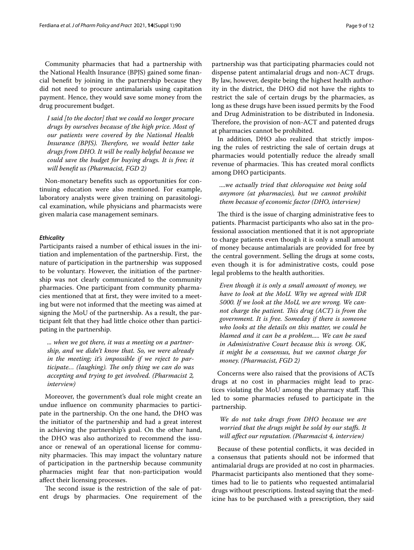Community pharmacies that had a partnership with the National Health Insurance (BPJS) gained some fnancial beneft by joining in the partnership because they did not need to procure antimalarials using capitation payment. Hence, they would save some money from the drug procurement budget.

*I said [to the doctor] that we could no longer procure drugs by ourselves because of the high price. Most of our patients were covered by the National Health*  Insurance (BPJS). Therefore, we would better take *drugs from DHO. It will be really helpful because we could save the budget for buying drugs. It is free; it will beneft us (Pharmacist, FGD 2)*

Non-monetary benefts such as opportunities for continuing education were also mentioned. For example, laboratory analysts were given training on parasitological examination, while physicians and pharmacists were given malaria case management seminars.

## *Ethicality*

Participants raised a number of ethical issues in the initiation and implementation of the partnership. First, the nature of participation in the partnership was supposed to be voluntary. However, the initiation of the partnership was not clearly communicated to the community pharmacies. One participant from community pharmacies mentioned that at frst, they were invited to a meeting but were not informed that the meeting was aimed at signing the MoU of the partnership. As a result, the participant felt that they had little choice other than participating in the partnership.

*... when we got there, it was a meeting on a partnership, and we didn't know that. So, we were already in the meeting; it's impossible if we reject to par*ticipate... (laughing). The only thing we can do was *accepting and trying to get involved. (Pharmacist 2, interview)*

Moreover, the government's dual role might create an undue infuence on community pharmacies to participate in the partnership. On the one hand, the DHO was the initiator of the partnership and had a great interest in achieving the partnership's goal. On the other hand, the DHO was also authorized to recommend the issuance or renewal of an operational license for community pharmacies. This may impact the voluntary nature of participation in the partnership because community pharmacies might fear that non-participation would afect their licensing processes.

The second issue is the restriction of the sale of patent drugs by pharmacies. One requirement of the partnership was that participating pharmacies could not dispense patent antimalarial drugs and non-ACT drugs. By law, however, despite being the highest health authority in the district, the DHO did not have the rights to restrict the sale of certain drugs by the pharmacies, as long as these drugs have been issued permits by the Food and Drug Administration to be distributed in Indonesia. Therefore, the provision of non-ACT and patented drugs at pharmacies cannot be prohibited.

In addition, DHO also realized that strictly imposing the rules of restricting the sale of certain drugs at pharmacies would potentially reduce the already small revenue of pharmacies. This has created moral conflicts among DHO participants.

*....we actually tried that chloroquine not being sold anymore (at pharmacies), but we cannot prohibit them because of economic factor (DHO, interview)*

The third is the issue of charging administrative fees to patients. Pharmacist participants who also sat in the professional association mentioned that it is not appropriate to charge patients even though it is only a small amount of money because antimalarials are provided for free by the central government. Selling the drugs at some costs, even though it is for administrative costs, could pose legal problems to the health authorities.

*Even though it is only a small amount of money, we have to look at the MoU. Why we agreed with IDR 5000. If we look at the MoU, we are wrong. We cannot charge the patient. This drug (ACT) is from the government. It is free. Someday if there is someone who looks at the details on this matter, we could be blamed and it can be a problem..... We can be sued in Administrative Court because this is wrong. OK, it might be a consensus, but we cannot charge for money. (Pharmacist, FGD 2)*

Concerns were also raised that the provisions of ACTs drugs at no cost in pharmacies might lead to practices violating the MoU among the pharmacy staff. This led to some pharmacies refused to participate in the partnership.

*We do not take drugs from DHO because we are worried that the drugs might be sold by our stafs. It will afect our reputation. (Pharmacist 4, interview)*

Because of these potential conficts, it was decided in a consensus that patients should not be informed that antimalarial drugs are provided at no cost in pharmacies. Pharmacist participants also mentioned that they sometimes had to lie to patients who requested antimalarial drugs without prescriptions. Instead saying that the medicine has to be purchased with a prescription, they said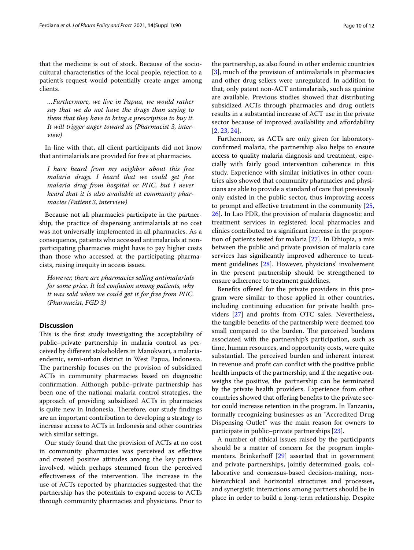that the medicine is out of stock. Because of the sociocultural characteristics of the local people, rejection to a patient's request would potentially create anger among clients.

*…Furthermore, we live in Papua, we would rather say that we do not have the drugs than saying to them that they have to bring a prescription to buy it. It will trigger anger toward us (Pharmacist 3, interview)*

In line with that, all client participants did not know that antimalarials are provided for free at pharmacies.

*I have heard from my neighbor about this free malaria drugs. I heard that we could get free malaria drug from hospital or PHC, but I never heard that it is also available at community pharmacies (Patient 3, interview)*

Because not all pharmacies participate in the partnership, the practice of dispensing antimalarials at no cost was not universally implemented in all pharmacies. As a consequence, patients who accessed antimalarials at nonparticipating pharmacies might have to pay higher costs than those who accessed at the participating pharmacists, raising inequity in access issues.

*However, there are pharmacies selling antimalarials for some price. It led confusion among patients, why it was sold when we could get it for free from PHC. (Pharmacist, FGD 3)*

## **Discussion**

This is the first study investigating the acceptability of public–private partnership in malaria control as perceived by diferent stakeholders in Manokwari, a malariaendemic, semi-urban district in West Papua, Indonesia. The partnership focuses on the provision of subsidized ACTs in community pharmacies based on diagnostic confrmation. Although public–private partnership has been one of the national malaria control strategies, the approach of providing subsidized ACTs in pharmacies is quite new in Indonesia. Therefore, our study findings are an important contribution to developing a strategy to increase access to ACTs in Indonesia and other countries with similar settings.

Our study found that the provision of ACTs at no cost in community pharmacies was perceived as efective and created positive attitudes among the key partners involved, which perhaps stemmed from the perceived effectiveness of the intervention. The increase in the use of ACTs reported by pharmacies suggested that the partnership has the potentials to expand access to ACTs through community pharmacies and physicians. Prior to the partnership, as also found in other endemic countries [[3\]](#page-11-2), much of the provision of antimalarials in pharmacies and other drug sellers were unregulated. In addition to that, only patent non-ACT antimalarials, such as quinine are available. Previous studies showed that distributing subsidized ACTs through pharmacies and drug outlets results in a substantial increase of ACT use in the private

sector because of improved availability and affordability

[[2,](#page-11-1) [23](#page-11-21), [24\]](#page-11-22).

Furthermore, as ACTs are only given for laboratoryconfrmed malaria, the partnership also helps to ensure access to quality malaria diagnosis and treatment, especially with fairly good intervention coherence in this study. Experience with similar initiatives in other countries also showed that community pharmacies and physicians are able to provide a standard of care that previously only existed in the public sector, thus improving access to prompt and efective treatment in the community [[25](#page-11-23), [26\]](#page-11-24). In Lao PDR, the provision of malaria diagnostic and treatment services in registered local pharmacies and clinics contributed to a signifcant increase in the proportion of patients tested for malaria [\[27](#page-11-25)]. In Ethiopia, a mix between the public and private provision of malaria care services has signifcantly improved adherence to treatment guidelines [\[28](#page-11-26)]. However, physicians' involvement in the present partnership should be strengthened to ensure adherence to treatment guidelines.

Benefts ofered for the private providers in this program were similar to those applied in other countries, including continuing education for private health providers [\[27](#page-11-25)] and profts from OTC sales. Nevertheless, the tangible benefts of the partnership were deemed too small compared to the burden. The perceived burdens associated with the partnership's participation, such as time, human resources, and opportunity costs, were quite substantial. The perceived burden and inherent interest in revenue and proft can confict with the positive public health impacts of the partnership, and if the negative outweighs the positive, the partnership can be terminated by the private health providers. Experience from other countries showed that offering benefits to the private sector could increase retention in the program. In Tanzania, formally recognizing businesses as an "Accredited Drug Dispensing Outlet" was the main reason for owners to participate in public–private partnerships [\[23](#page-11-21)].

A number of ethical issues raised by the participants should be a matter of concern for the program imple-menters. Brinkerhoff [[29\]](#page-11-27) asserted that in government and private partnerships, jointly determined goals, collaborative and consensus-based decision-making, nonhierarchical and horizontal structures and processes, and synergistic interactions among partners should be in place in order to build a long-term relationship. Despite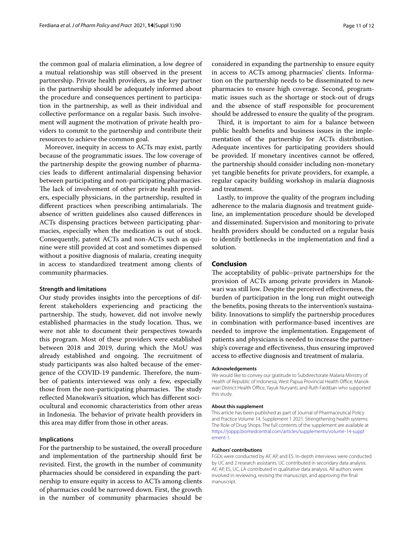the common goal of malaria elimination, a low degree of a mutual relationship was still observed in the present partnership. Private health providers, as the key partner in the partnership should be adequately informed about the procedure and consequences pertinent to participation in the partnership, as well as their individual and collective performance on a regular basis. Such involvement will augment the motivation of private health providers to commit to the partnership and contribute their resources to achieve the common goal.

Moreover, inequity in access to ACTs may exist, partly because of the programmatic issues. The low coverage of the partnership despite the growing number of pharmacies leads to diferent antimalarial dispensing behavior between participating and non-participating pharmacies. The lack of involvement of other private health providers, especially physicians, in the partnership, resulted in different practices when prescribing antimalarials. The absence of written guidelines also caused diferences in ACTs dispensing practices between participating pharmacies, especially when the medication is out of stock. Consequently, patent ACTs and non-ACTs such as quinine were still provided at cost and sometimes dispensed without a positive diagnosis of malaria, creating inequity in access to standardized treatment among clients of community pharmacies.

## **Strength and limitations**

Our study provides insights into the perceptions of different stakeholders experiencing and practicing the partnership. The study, however, did not involve newly established pharmacies in the study location. Thus, we were not able to document their perspectives towards this program. Most of these providers were established between 2018 and 2019, during which the MoU was already established and ongoing. The recruitment of study participants was also halted because of the emergence of the COVID-19 pandemic. Therefore, the number of patients interviewed was only a few, especially those from the non-participating pharmacies. The study reflected Manokwari's situation, which has different sociocultural and economic characteristics from other areas in Indonesia. The behavior of private health providers in this area may difer from those in other areas.

## **Implications**

For the partnership to be sustained, the overall procedure and implementation of the partnership should frst be revisited. First, the growth in the number of community pharmacies should be considered in expanding the partnership to ensure equity in access to ACTs among clients of pharmacies could be narrowed down. First, the growth in the number of community pharmacies should be considered in expanding the partnership to ensure equity in access to ACTs among pharmacies' clients. Information on the partnership needs to be disseminated to new pharmacies to ensure high coverage. Second, programmatic issues such as the shortage or stock-out of drugs and the absence of staff responsible for procurement should be addressed to ensure the quality of the program.

Third, it is important to aim for a balance between public health benefts and business issues in the implementation of the partnership for ACTs distribution. Adequate incentives for participating providers should be provided. If monetary incentives cannot be offered, the partnership should consider including non-monetary yet tangible benefts for private providers, for example, a regular capacity building workshop in malaria diagnosis and treatment.

Lastly, to improve the quality of the program including adherence to the malaria diagnosis and treatment guideline, an implementation procedure should be developed and disseminated. Supervision and monitoring to private health providers should be conducted on a regular basis to identify bottlenecks in the implementation and fnd a solution.

## **Conclusion**

The acceptability of public–private partnerships for the provision of ACTs among private providers in Manokwari was still low. Despite the perceived efectiveness, the burden of participation in the long run might outweigh the benefts, posing threats to the intervention's sustainability. Innovations to simplify the partnership procedures in combination with performance-based incentives are needed to improve the implementation. Engagement of patients and physicians is needed to increase the partnership's coverage and efectiveness, thus ensuring improved access to efective diagnosis and treatment of malaria.

#### **Acknowledgements**

We would like to convey our gratitude to Subdirectorate Malaria Ministry of Health of Republic of Indonesia, West Papua Provincial Health Office, Manokwari District Health Office, Yayuk Nuryanti, and Ruth Faidiban who supported this study.

#### **About this supplement**

This article has been published as part of Journal of Pharmaceutical Policy and Practice Volume 14, Supplement 1 2021: Strengthening health systems: The Role of Drug Shops. The full contents of the supplement are available at [https://joppp.biomedcentral.com/articles/supplements/volume-14-suppl](https://joppp.biomedcentral.com/articles/supplements/volume-14-supplement-1) [ement-1](https://joppp.biomedcentral.com/articles/supplements/volume-14-supplement-1).

#### **Authors' contributions**

FGDs were conducted by AF, AP, and ES. In-depth interviews were conducted by UC and 2 research assistants. UC contributed in secondary data analysis. AF, AP, ES, UC, LA contributed in qualitative data analysis. All authors were involved in reviewing, revising the manuscript, and approving the fnal manuscript.